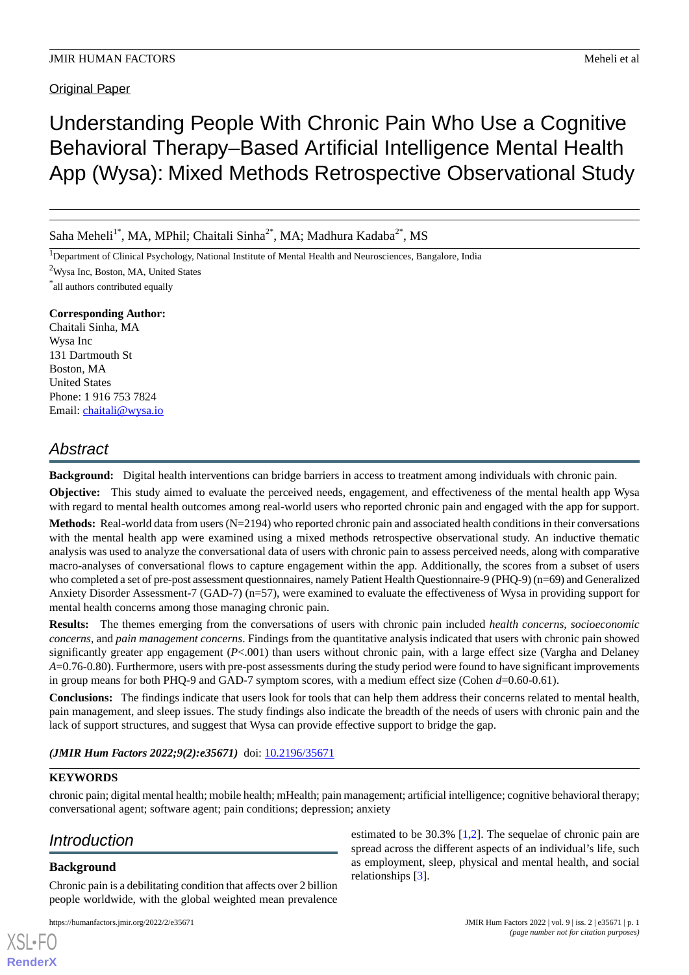# Understanding People With Chronic Pain Who Use a Cognitive Behavioral Therapy–Based Artificial Intelligence Mental Health App (Wysa): Mixed Methods Retrospective Observational Study

Saha Meheli<sup>1\*</sup>, MA, MPhil; Chaitali Sinha<sup>2\*</sup>, MA; Madhura Kadaba<sup>2\*</sup>, MS

<sup>1</sup>Department of Clinical Psychology, National Institute of Mental Health and Neurosciences, Bangalore, India

<sup>2</sup>Wysa Inc, Boston, MA, United States

\* all authors contributed equally

# **Corresponding Author:**

Chaitali Sinha, MA Wysa Inc 131 Dartmouth St Boston, MA United States Phone: 1 916 753 7824 Email: [chaitali@wysa.io](mailto:chaitali@wysa.io)

# *Abstract*

**Background:** Digital health interventions can bridge barriers in access to treatment among individuals with chronic pain.

**Objective:** This study aimed to evaluate the perceived needs, engagement, and effectiveness of the mental health app Wysa with regard to mental health outcomes among real-world users who reported chronic pain and engaged with the app for support.

**Methods:** Real-world data from users (N=2194) who reported chronic pain and associated health conditions in their conversations with the mental health app were examined using a mixed methods retrospective observational study. An inductive thematic analysis was used to analyze the conversational data of users with chronic pain to assess perceived needs, along with comparative macro-analyses of conversational flows to capture engagement within the app. Additionally, the scores from a subset of users who completed a set of pre-post assessment questionnaires, namely Patient Health Questionnaire-9 (PHQ-9) (n=69) and Generalized Anxiety Disorder Assessment-7 (GAD-7) (n=57), were examined to evaluate the effectiveness of Wysa in providing support for mental health concerns among those managing chronic pain.

**Results:** The themes emerging from the conversations of users with chronic pain included *health concerns*, *socioeconomic concerns*, and *pain management concerns*. Findings from the quantitative analysis indicated that users with chronic pain showed significantly greater app engagement  $(P<.001)$  than users without chronic pain, with a large effect size (Vargha and Delaney *A*=0.76-0.80). Furthermore, users with pre-post assessments during the study period were found to have significant improvements in group means for both PHQ-9 and GAD-7 symptom scores, with a medium effect size (Cohen *d*=0.60-0.61).

**Conclusions:** The findings indicate that users look for tools that can help them address their concerns related to mental health, pain management, and sleep issues. The study findings also indicate the breadth of the needs of users with chronic pain and the lack of support structures, and suggest that Wysa can provide effective support to bridge the gap.

*(JMIR Hum Factors 2022;9(2):e35671)* doi: [10.2196/35671](http://dx.doi.org/10.2196/35671)

# **KEYWORDS**

chronic pain; digital mental health; mobile health; mHealth; pain management; artificial intelligence; cognitive behavioral therapy; conversational agent; software agent; pain conditions; depression; anxiety

# *Introduction*

# **Background**

[XSL](http://www.w3.org/Style/XSL)•FO **[RenderX](http://www.renderx.com/)**

Chronic pain is a debilitating condition that affects over 2 billion people worldwide, with the global weighted mean prevalence

estimated to be 30.3% [[1,](#page-8-0)[2](#page-8-1)]. The sequelae of chronic pain are spread across the different aspects of an individual's life, such as employment, sleep, physical and mental health, and social relationships [[3\]](#page-8-2).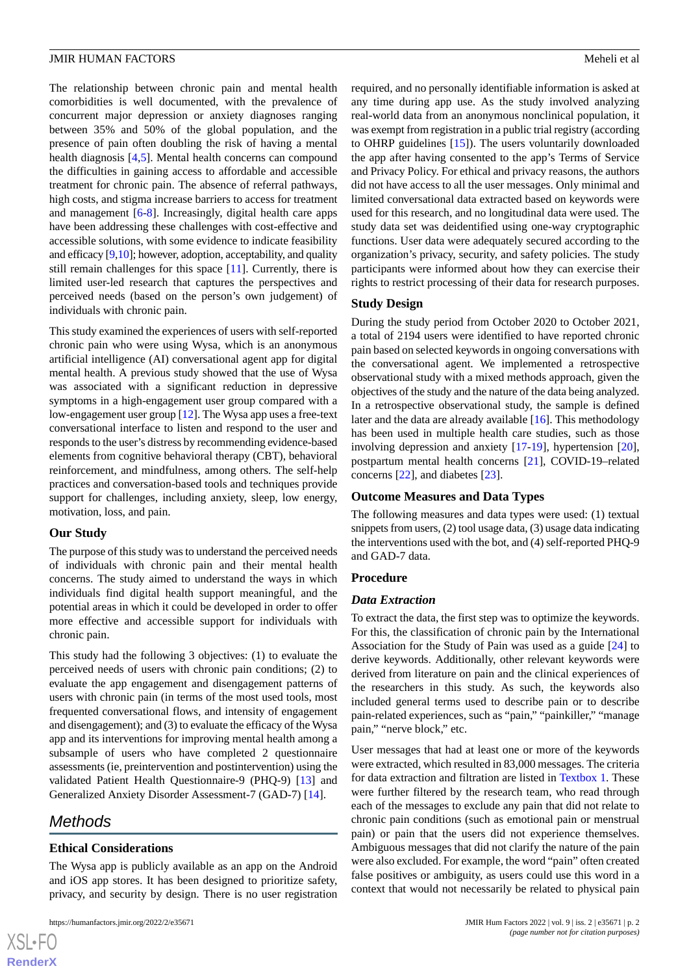The relationship between chronic pain and mental health comorbidities is well documented, with the prevalence of concurrent major depression or anxiety diagnoses ranging between 35% and 50% of the global population, and the presence of pain often doubling the risk of having a mental health diagnosis [\[4](#page-8-3),[5](#page-8-4)]. Mental health concerns can compound the difficulties in gaining access to affordable and accessible treatment for chronic pain. The absence of referral pathways, high costs, and stigma increase barriers to access for treatment and management [\[6-](#page-8-5)[8\]](#page-8-6). Increasingly, digital health care apps have been addressing these challenges with cost-effective and accessible solutions, with some evidence to indicate feasibility and efficacy  $[9,10]$  $[9,10]$  $[9,10]$ ; however, adoption, acceptability, and quality still remain challenges for this space [\[11](#page-8-9)]. Currently, there is limited user-led research that captures the perspectives and perceived needs (based on the person's own judgement) of individuals with chronic pain.

This study examined the experiences of users with self-reported chronic pain who were using Wysa, which is an anonymous artificial intelligence (AI) conversational agent app for digital mental health. A previous study showed that the use of Wysa was associated with a significant reduction in depressive symptoms in a high-engagement user group compared with a low-engagement user group [\[12](#page-8-10)]. The Wysa app uses a free-text conversational interface to listen and respond to the user and responds to the user's distress by recommending evidence-based elements from cognitive behavioral therapy (CBT), behavioral reinforcement, and mindfulness, among others. The self-help practices and conversation-based tools and techniques provide support for challenges, including anxiety, sleep, low energy, motivation, loss, and pain.

#### **Our Study**

The purpose of this study was to understand the perceived needs of individuals with chronic pain and their mental health concerns. The study aimed to understand the ways in which individuals find digital health support meaningful, and the potential areas in which it could be developed in order to offer more effective and accessible support for individuals with chronic pain.

This study had the following 3 objectives: (1) to evaluate the perceived needs of users with chronic pain conditions; (2) to evaluate the app engagement and disengagement patterns of users with chronic pain (in terms of the most used tools, most frequented conversational flows, and intensity of engagement and disengagement); and (3) to evaluate the efficacy of the Wysa app and its interventions for improving mental health among a subsample of users who have completed 2 questionnaire assessments (ie, preintervention and postintervention) using the validated Patient Health Questionnaire-9 (PHQ-9) [\[13](#page-8-11)] and Generalized Anxiety Disorder Assessment-7 (GAD-7) [\[14](#page-8-12)].

# *Methods*

 $XS$  $\cdot$ FC **[RenderX](http://www.renderx.com/)**

# **Ethical Considerations**

The Wysa app is publicly available as an app on the Android and iOS app stores. It has been designed to prioritize safety, privacy, and security by design. There is no user registration

required, and no personally identifiable information is asked at any time during app use. As the study involved analyzing real-world data from an anonymous nonclinical population, it was exempt from registration in a public trial registry (according to OHRP guidelines [\[15](#page-8-13)]). The users voluntarily downloaded the app after having consented to the app's Terms of Service and Privacy Policy. For ethical and privacy reasons, the authors did not have access to all the user messages. Only minimal and limited conversational data extracted based on keywords were used for this research, and no longitudinal data were used. The study data set was deidentified using one-way cryptographic functions. User data were adequately secured according to the organization's privacy, security, and safety policies. The study participants were informed about how they can exercise their rights to restrict processing of their data for research purposes.

# **Study Design**

During the study period from October 2020 to October 2021, a total of 2194 users were identified to have reported chronic pain based on selected keywords in ongoing conversations with the conversational agent. We implemented a retrospective observational study with a mixed methods approach, given the objectives of the study and the nature of the data being analyzed. In a retrospective observational study, the sample is defined later and the data are already available [[16\]](#page-8-14). This methodology has been used in multiple health care studies, such as those involving depression and anxiety [[17-](#page-8-15)[19](#page-8-16)], hypertension [[20\]](#page-8-17), postpartum mental health concerns [\[21](#page-9-0)], COVID-19–related concerns [\[22](#page-9-1)], and diabetes [[23\]](#page-9-2).

# **Outcome Measures and Data Types**

The following measures and data types were used: (1) textual snippets from users, (2) tool usage data, (3) usage data indicating the interventions used with the bot, and (4) self-reported PHQ-9 and GAD-7 data.

#### **Procedure**

#### *Data Extraction*

To extract the data, the first step was to optimize the keywords. For this, the classification of chronic pain by the International Association for the Study of Pain was used as a guide [[24\]](#page-9-3) to derive keywords. Additionally, other relevant keywords were derived from literature on pain and the clinical experiences of the researchers in this study. As such, the keywords also included general terms used to describe pain or to describe pain-related experiences, such as "pain," "painkiller," "manage pain," "nerve block," etc.

User messages that had at least one or more of the keywords were extracted, which resulted in 83,000 messages. The criteria for data extraction and filtration are listed in [Textbox 1.](#page-2-0) These were further filtered by the research team, who read through each of the messages to exclude any pain that did not relate to chronic pain conditions (such as emotional pain or menstrual pain) or pain that the users did not experience themselves. Ambiguous messages that did not clarify the nature of the pain were also excluded. For example, the word "pain" often created false positives or ambiguity, as users could use this word in a context that would not necessarily be related to physical pain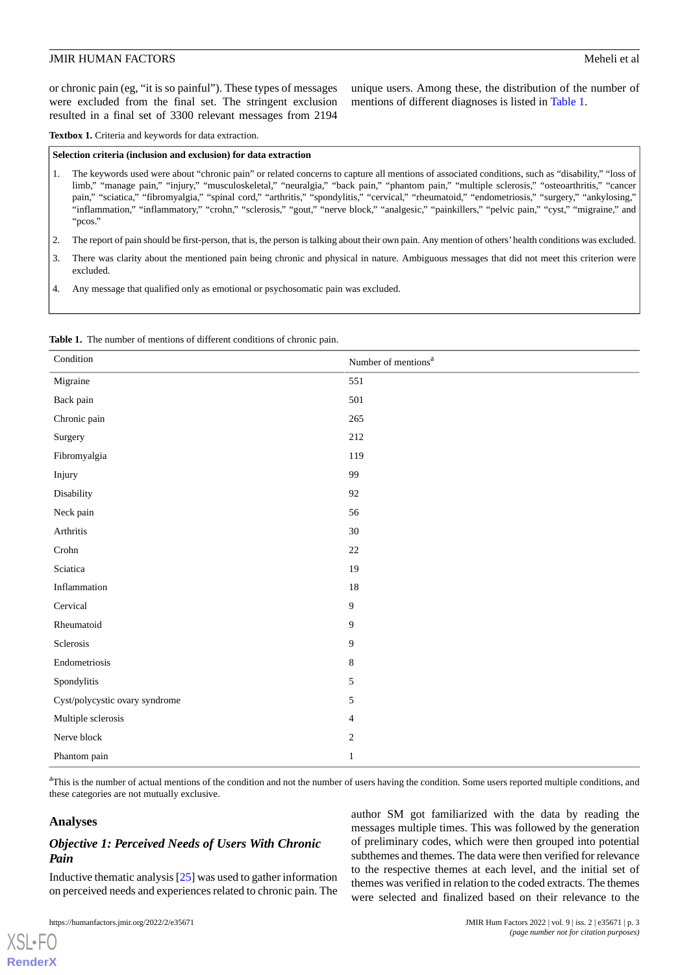or chronic pain (eg, "it is so painful"). These types of messages were excluded from the final set. The stringent exclusion resulted in a final set of 3300 relevant messages from 2194

unique users. Among these, the distribution of the number of mentions of different diagnoses is listed in [Table 1](#page-2-1).

<span id="page-2-0"></span>Textbox 1. Criteria and keywords for data extraction.

#### **Selection criteria (inclusion and exclusion) for data extraction**

- 1. The keywords used were about "chronic pain" or related concerns to capture all mentions of associated conditions, such as "disability," "loss of limb," "manage pain," "injury," "musculoskeletal," "neuralgia," "back pain," "phantom pain," "multiple sclerosis," "osteoarthritis," "cancer pain," "sciatica," "fibromyalgia," "spinal cord," "arthritis," "spondylitis," "cervical," "rheumatoid," "endometriosis," "surgery," "ankylosing," "inflammation," "inflammatory," "crohn," "sclerosis," "gout," "nerve block," "analgesic," "painkillers," "pelvic pain," "cyst," "migraine," and "pcos."
- 2. The report of pain should be first-person, that is, the person is talking about their own pain. Any mention of others'health conditions was excluded.
- 3. There was clarity about the mentioned pain being chronic and physical in nature. Ambiguous messages that did not meet this criterion were excluded.

<span id="page-2-1"></span>4. Any message that qualified only as emotional or psychosomatic pain was excluded.

| <b>Table 1.</b> The number of mentions of different conditions of chronic pain. |  |
|---------------------------------------------------------------------------------|--|
|---------------------------------------------------------------------------------|--|

| Condition                      | Number of mentions <sup>a</sup> |
|--------------------------------|---------------------------------|
| Migraine                       | 551                             |
| Back pain                      | 501                             |
| Chronic pain                   | 265                             |
| Surgery                        | 212                             |
| Fibromyalgia                   | 119                             |
| Injury                         | 99                              |
| Disability                     | 92                              |
| Neck pain                      | 56                              |
| Arthritis                      | 30                              |
| $\operatorname{Crohn}$         | $22\,$                          |
| Sciatica                       | 19                              |
| Inflammation                   | 18                              |
| Cervical                       | 9                               |
| Rheumatoid                     | 9                               |
| Sclerosis                      | 9                               |
| Endometriosis                  | $\,8\,$                         |
| Spondylitis                    | 5                               |
| Cyst/polycystic ovary syndrome | 5                               |
| Multiple sclerosis             | $\overline{\mathbf{4}}$         |
| Nerve block                    | $\sqrt{2}$                      |
| Phantom pain                   | $\mathbf{1}$                    |

<sup>a</sup>This is the number of actual mentions of the condition and not the number of users having the condition. Some users reported multiple conditions, and these categories are not mutually exclusive.

#### **Analyses**

[XSL](http://www.w3.org/Style/XSL)•FO **[RenderX](http://www.renderx.com/)**

# *Objective 1: Perceived Needs of Users With Chronic Pain*

Inductive thematic analysis [\[25](#page-9-4)] was used to gather information on perceived needs and experiences related to chronic pain. The

author SM got familiarized with the data by reading the messages multiple times. This was followed by the generation of preliminary codes, which were then grouped into potential subthemes and themes. The data were then verified for relevance to the respective themes at each level, and the initial set of themes was verified in relation to the coded extracts. The themes were selected and finalized based on their relevance to the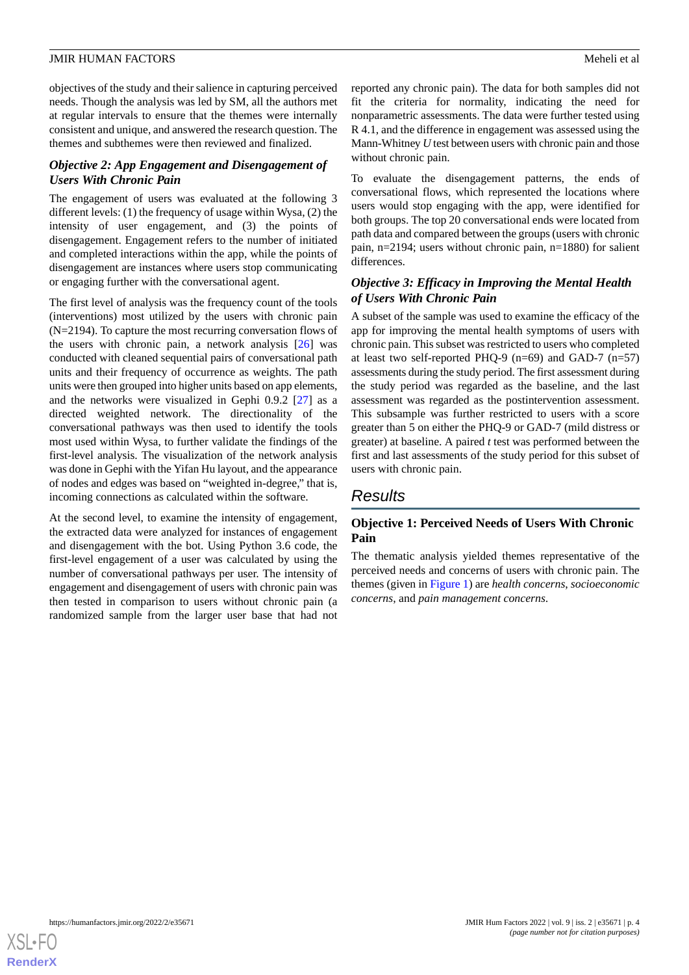objectives of the study and their salience in capturing perceived needs. Though the analysis was led by SM, all the authors met at regular intervals to ensure that the themes were internally consistent and unique, and answered the research question. The themes and subthemes were then reviewed and finalized.

# *Objective 2: App Engagement and Disengagement of Users With Chronic Pain*

The engagement of users was evaluated at the following 3 different levels: (1) the frequency of usage within Wysa, (2) the intensity of user engagement, and (3) the points of disengagement. Engagement refers to the number of initiated and completed interactions within the app, while the points of disengagement are instances where users stop communicating or engaging further with the conversational agent.

The first level of analysis was the frequency count of the tools (interventions) most utilized by the users with chronic pain (N=2194). To capture the most recurring conversation flows of the users with chronic pain, a network analysis  $[26]$  $[26]$  was conducted with cleaned sequential pairs of conversational path units and their frequency of occurrence as weights. The path units were then grouped into higher units based on app elements, and the networks were visualized in Gephi 0.9.2 [[27\]](#page-9-6) as a directed weighted network. The directionality of the conversational pathways was then used to identify the tools most used within Wysa, to further validate the findings of the first-level analysis. The visualization of the network analysis was done in Gephi with the Yifan Hu layout, and the appearance of nodes and edges was based on "weighted in-degree," that is, incoming connections as calculated within the software.

At the second level, to examine the intensity of engagement, the extracted data were analyzed for instances of engagement and disengagement with the bot. Using Python 3.6 code, the first-level engagement of a user was calculated by using the number of conversational pathways per user. The intensity of engagement and disengagement of users with chronic pain was then tested in comparison to users without chronic pain (a randomized sample from the larger user base that had not

reported any chronic pain). The data for both samples did not fit the criteria for normality, indicating the need for nonparametric assessments. The data were further tested using R 4.1, and the difference in engagement was assessed using the Mann-Whitney *U* test between users with chronic pain and those without chronic pain.

To evaluate the disengagement patterns, the ends of conversational flows, which represented the locations where users would stop engaging with the app, were identified for both groups. The top 20 conversational ends were located from path data and compared between the groups (users with chronic pain, n=2194; users without chronic pain, n=1880) for salient differences.

# *Objective 3: Efficacy in Improving the Mental Health of Users With Chronic Pain*

A subset of the sample was used to examine the efficacy of the app for improving the mental health symptoms of users with chronic pain. This subset was restricted to users who completed at least two self-reported PHQ-9 (n=69) and GAD-7 (n=57) assessments during the study period. The first assessment during the study period was regarded as the baseline, and the last assessment was regarded as the postintervention assessment. This subsample was further restricted to users with a score greater than 5 on either the PHQ-9 or GAD-7 (mild distress or greater) at baseline. A paired *t* test was performed between the first and last assessments of the study period for this subset of users with chronic pain.

# *Results*

# **Objective 1: Perceived Needs of Users With Chronic Pain**

The thematic analysis yielded themes representative of the perceived needs and concerns of users with chronic pain. The themes (given in [Figure 1](#page-4-0)) are *health concerns*, *socioeconomic concerns*, and *pain management concerns*.

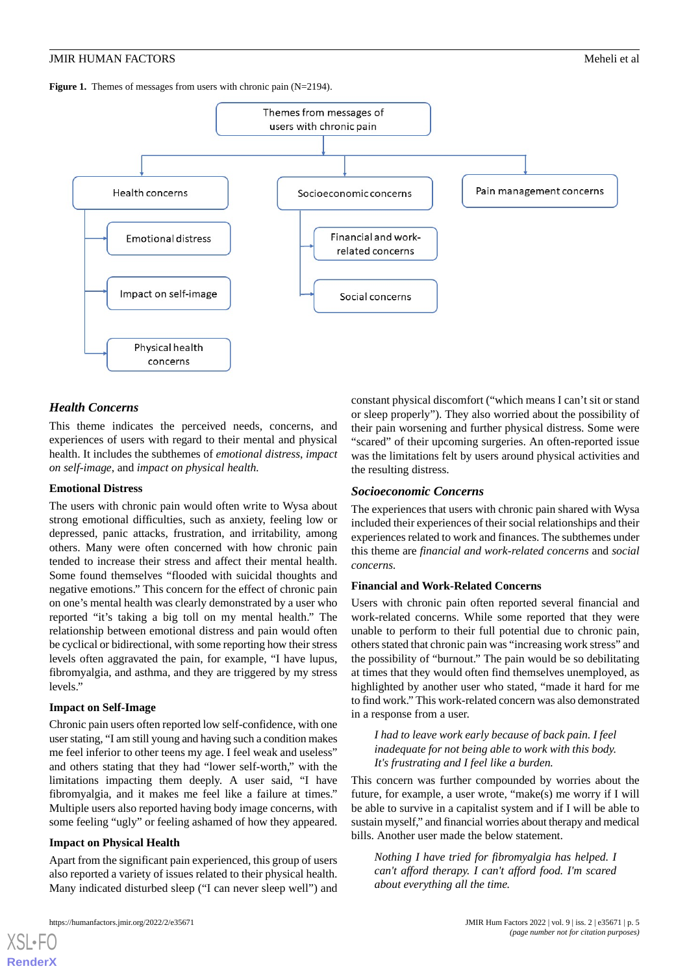<span id="page-4-0"></span>**Figure 1.** Themes of messages from users with chronic pain (N=2194).



# *Health Concerns*

This theme indicates the perceived needs, concerns, and experiences of users with regard to their mental and physical health. It includes the subthemes of *emotional distress*, *impact on self-image*, and *impact on physical health.*

#### **Emotional Distress**

The users with chronic pain would often write to Wysa about strong emotional difficulties, such as anxiety, feeling low or depressed, panic attacks, frustration, and irritability, among others. Many were often concerned with how chronic pain tended to increase their stress and affect their mental health. Some found themselves "flooded with suicidal thoughts and negative emotions." This concern for the effect of chronic pain on one's mental health was clearly demonstrated by a user who reported "it's taking a big toll on my mental health." The relationship between emotional distress and pain would often be cyclical or bidirectional, with some reporting how their stress levels often aggravated the pain, for example, "I have lupus, fibromyalgia, and asthma, and they are triggered by my stress levels."

#### **Impact on Self-Image**

Chronic pain users often reported low self-confidence, with one user stating, "I am still young and having such a condition makes me feel inferior to other teens my age. I feel weak and useless" and others stating that they had "lower self-worth," with the limitations impacting them deeply. A user said, "I have fibromyalgia, and it makes me feel like a failure at times." Multiple users also reported having body image concerns, with some feeling "ugly" or feeling ashamed of how they appeared.

#### **Impact on Physical Health**

Apart from the significant pain experienced, this group of users also reported a variety of issues related to their physical health. Many indicated disturbed sleep ("I can never sleep well") and

[XSL](http://www.w3.org/Style/XSL)•FO **[RenderX](http://www.renderx.com/)**

constant physical discomfort ("which means I can't sit or stand or sleep properly"). They also worried about the possibility of their pain worsening and further physical distress. Some were "scared" of their upcoming surgeries. An often-reported issue was the limitations felt by users around physical activities and the resulting distress.

#### *Socioeconomic Concerns*

The experiences that users with chronic pain shared with Wysa included their experiences of their social relationships and their experiences related to work and finances. The subthemes under this theme are *financial and work-related concerns* and *social concerns.*

#### **Financial and Work-Related Concerns**

Users with chronic pain often reported several financial and work-related concerns. While some reported that they were unable to perform to their full potential due to chronic pain, others stated that chronic pain was "increasing work stress" and the possibility of "burnout." The pain would be so debilitating at times that they would often find themselves unemployed, as highlighted by another user who stated, "made it hard for me to find work." This work-related concern was also demonstrated in a response from a user.

*I had to leave work early because of back pain. I feel inadequate for not being able to work with this body. It's frustrating and I feel like a burden.*

This concern was further compounded by worries about the future, for example, a user wrote, "make(s) me worry if I will be able to survive in a capitalist system and if I will be able to sustain myself," and financial worries about therapy and medical bills. Another user made the below statement.

*Nothing I have tried for fibromyalgia has helped. I can't afford therapy. I can't afford food. I'm scared about everything all the time.*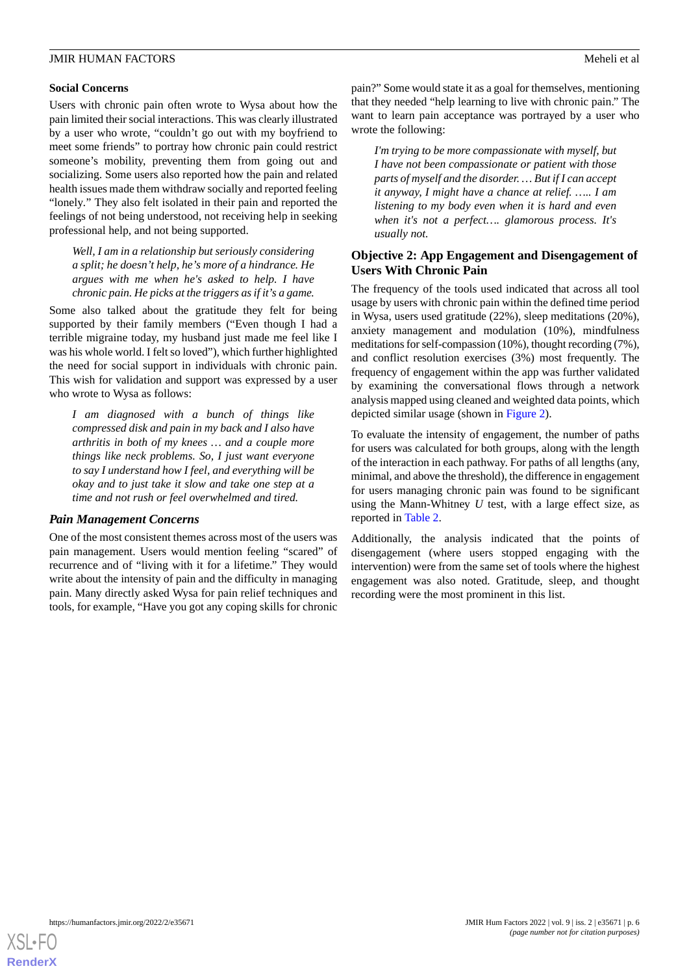# **Social Concerns**

Users with chronic pain often wrote to Wysa about how the pain limited their social interactions. This was clearly illustrated by a user who wrote, "couldn't go out with my boyfriend to meet some friends" to portray how chronic pain could restrict someone's mobility, preventing them from going out and socializing. Some users also reported how the pain and related health issues made them withdraw socially and reported feeling "lonely*.*" They also felt isolated in their pain and reported the feelings of not being understood, not receiving help in seeking professional help, and not being supported.

*Well, I am in a relationship but seriously considering a split; he doesn't help, he's more of a hindrance. He argues with me when he's asked to help. I have chronic pain. He picks at the triggers as if it's a game.*

Some also talked about the gratitude they felt for being supported by their family members ("Even though I had a terrible migraine today, my husband just made me feel like I was his whole world. I felt so loved"), which further highlighted the need for social support in individuals with chronic pain. This wish for validation and support was expressed by a user who wrote to Wysa as follows:

*I am diagnosed with a bunch of things like compressed disk and pain in my back and I also have arthritis in both of my knees … and a couple more things like neck problems. So, I just want everyone to say I understand how I feel, and everything will be okay and to just take it slow and take one step at a time and not rush or feel overwhelmed and tired.*

# *Pain Management Concerns*

One of the most consistent themes across most of the users was pain management. Users would mention feeling "scared" of recurrence and of "living with it for a lifetime." They would write about the intensity of pain and the difficulty in managing pain. Many directly asked Wysa for pain relief techniques and tools, for example, "Have you got any coping skills for chronic

pain?" Some would state it as a goal for themselves, mentioning that they needed "help learning to live with chronic pain." The want to learn pain acceptance was portrayed by a user who wrote the following:

*I'm trying to be more compassionate with myself, but I have not been compassionate or patient with those parts of myself and the disorder. … But if I can accept it anyway, I might have a chance at relief. ….. I am listening to my body even when it is hard and even when it's not a perfect…. glamorous process. It's usually not.*

# **Objective 2: App Engagement and Disengagement of Users With Chronic Pain**

The frequency of the tools used indicated that across all tool usage by users with chronic pain within the defined time period in Wysa, users used gratitude (22%), sleep meditations (20%), anxiety management and modulation (10%), mindfulness meditations for self-compassion (10%), thought recording (7%), and conflict resolution exercises (3%) most frequently. The frequency of engagement within the app was further validated by examining the conversational flows through a network analysis mapped using cleaned and weighted data points, which depicted similar usage (shown in [Figure 2](#page-6-0)).

To evaluate the intensity of engagement, the number of paths for users was calculated for both groups, along with the length of the interaction in each pathway. For paths of all lengths (any, minimal, and above the threshold), the difference in engagement for users managing chronic pain was found to be significant using the Mann-Whitney *U* test, with a large effect size, as reported in [Table 2](#page-6-1).

Additionally, the analysis indicated that the points of disengagement (where users stopped engaging with the intervention) were from the same set of tools where the highest engagement was also noted. Gratitude, sleep, and thought recording were the most prominent in this list.

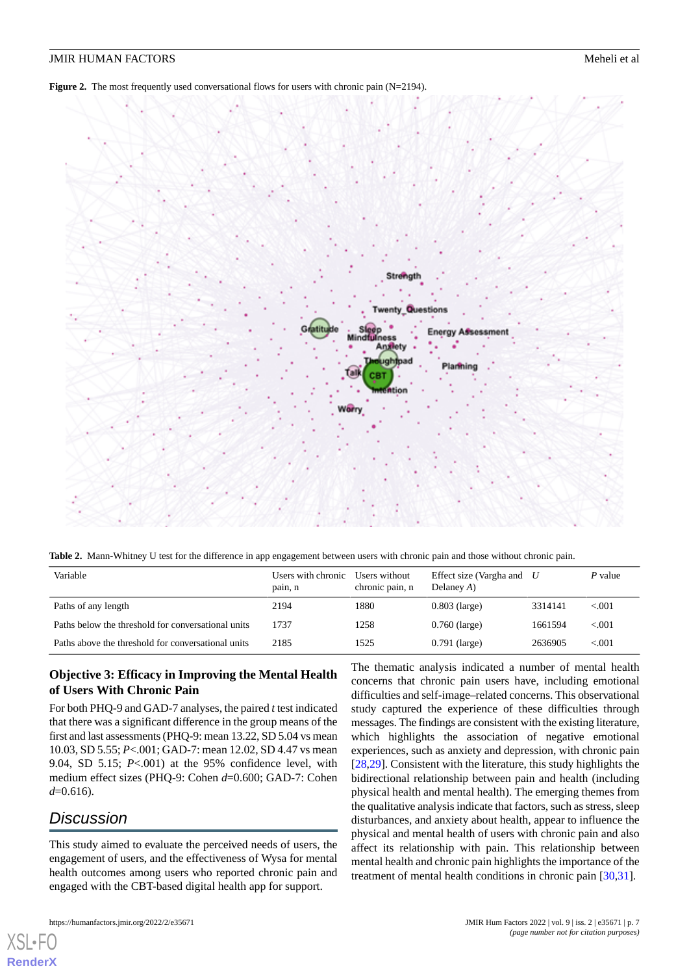<span id="page-6-0"></span>**Figure 2.** The most frequently used conversational flows for users with chronic pain (N=2194).



<span id="page-6-1"></span>**Table 2.** Mann-Whitney U test for the difference in app engagement between users with chronic pain and those without chronic pain.

| Variable                                           | Users with chronic<br>pain, n | Users without<br>chronic pain, n | Effect size (Vargha and<br>Delaney $A$ ) | U       | P value  |
|----------------------------------------------------|-------------------------------|----------------------------------|------------------------------------------|---------|----------|
| Paths of any length                                | 2194                          | 1880                             | $0.803$ (large)                          | 3314141 | ${<}001$ |
| Paths below the threshold for conversational units | 1737                          | 1258                             | $0.760$ (large)                          | 1661594 | ${<}001$ |
| Paths above the threshold for conversational units | 2185                          | 1525                             | $0.791$ (large)                          | 2636905 | < 0.01   |

# **Objective 3: Efficacy in Improving the Mental Health of Users With Chronic Pain**

For both PHQ-9 and GAD-7 analyses, the paired *t* test indicated that there was a significant difference in the group means of the first and last assessments (PHQ-9: mean 13.22, SD 5.04 vs mean 10.03, SD 5.55; *P*<.001; GAD-7: mean 12.02, SD 4.47 vs mean 9.04, SD 5.15; *P*<.001) at the 95% confidence level, with medium effect sizes (PHQ-9: Cohen *d*=0.600; GAD-7: Cohen *d*=0.616).

# *Discussion*

[XSL](http://www.w3.org/Style/XSL)•FO **[RenderX](http://www.renderx.com/)**

This study aimed to evaluate the perceived needs of users, the engagement of users, and the effectiveness of Wysa for mental health outcomes among users who reported chronic pain and engaged with the CBT-based digital health app for support.

The thematic analysis indicated a number of mental health concerns that chronic pain users have, including emotional difficulties and self-image–related concerns. This observational study captured the experience of these difficulties through messages. The findings are consistent with the existing literature, which highlights the association of negative emotional experiences, such as anxiety and depression, with chronic pain [[28,](#page-9-7)[29\]](#page-9-8). Consistent with the literature, this study highlights the bidirectional relationship between pain and health (including physical health and mental health). The emerging themes from the qualitative analysis indicate that factors, such as stress, sleep disturbances, and anxiety about health, appear to influence the physical and mental health of users with chronic pain and also affect its relationship with pain. This relationship between mental health and chronic pain highlights the importance of the treatment of mental health conditions in chronic pain [\[30](#page-9-9),[31\]](#page-9-10).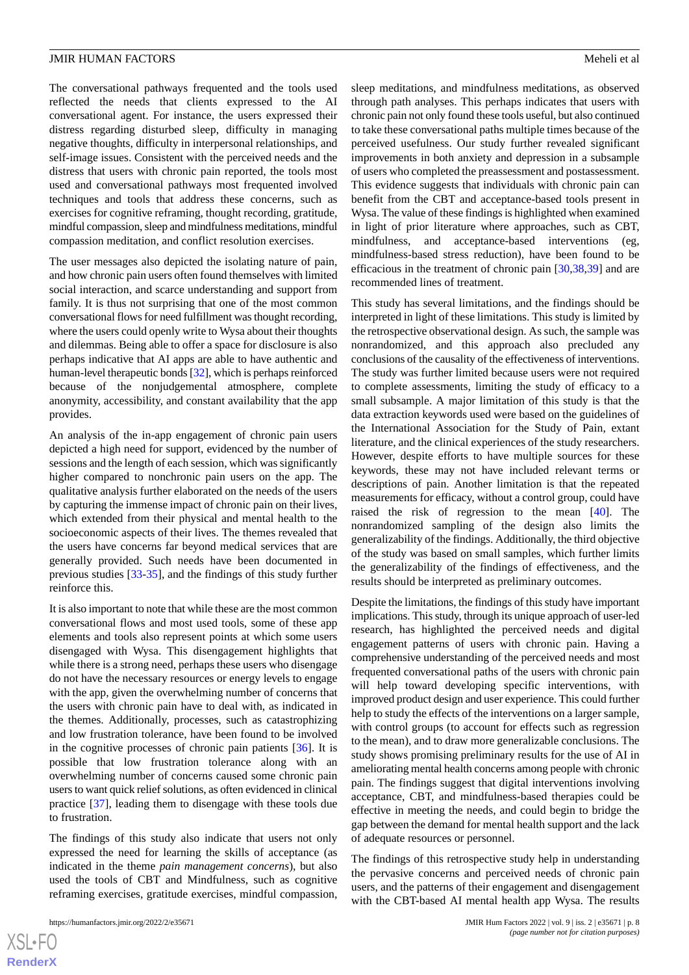The conversational pathways frequented and the tools used reflected the needs that clients expressed to the AI conversational agent. For instance, the users expressed their distress regarding disturbed sleep, difficulty in managing negative thoughts, difficulty in interpersonal relationships, and self-image issues. Consistent with the perceived needs and the distress that users with chronic pain reported, the tools most used and conversational pathways most frequented involved techniques and tools that address these concerns, such as exercises for cognitive reframing, thought recording, gratitude, mindful compassion, sleep and mindfulness meditations, mindful compassion meditation, and conflict resolution exercises.

The user messages also depicted the isolating nature of pain, and how chronic pain users often found themselves with limited social interaction, and scarce understanding and support from family. It is thus not surprising that one of the most common conversational flows for need fulfillment was thought recording, where the users could openly write to Wysa about their thoughts and dilemmas. Being able to offer a space for disclosure is also perhaps indicative that AI apps are able to have authentic and human-level therapeutic bonds [\[32\]](#page-9-11), which is perhaps reinforced because of the nonjudgemental atmosphere, complete anonymity, accessibility, and constant availability that the app provides.

An analysis of the in-app engagement of chronic pain users depicted a high need for support, evidenced by the number of sessions and the length of each session, which was significantly higher compared to nonchronic pain users on the app. The qualitative analysis further elaborated on the needs of the users by capturing the immense impact of chronic pain on their lives, which extended from their physical and mental health to the socioeconomic aspects of their lives. The themes revealed that the users have concerns far beyond medical services that are generally provided. Such needs have been documented in previous studies [\[33](#page-9-12)[-35](#page-9-13)], and the findings of this study further reinforce this.

It is also important to note that while these are the most common conversational flows and most used tools, some of these app elements and tools also represent points at which some users disengaged with Wysa. This disengagement highlights that while there is a strong need, perhaps these users who disengage do not have the necessary resources or energy levels to engage with the app, given the overwhelming number of concerns that the users with chronic pain have to deal with, as indicated in the themes. Additionally, processes, such as catastrophizing and low frustration tolerance, have been found to be involved in the cognitive processes of chronic pain patients [[36\]](#page-9-14). It is possible that low frustration tolerance along with an overwhelming number of concerns caused some chronic pain users to want quick relief solutions, as often evidenced in clinical practice [[37\]](#page-9-15), leading them to disengage with these tools due to frustration.

The findings of this study also indicate that users not only expressed the need for learning the skills of acceptance (as indicated in the theme *pain management concerns*), but also used the tools of CBT and Mindfulness, such as cognitive reframing exercises, gratitude exercises, mindful compassion,

sleep meditations, and mindfulness meditations, as observed through path analyses. This perhaps indicates that users with chronic pain not only found these tools useful, but also continued to take these conversational paths multiple times because of the perceived usefulness. Our study further revealed significant improvements in both anxiety and depression in a subsample of users who completed the preassessment and postassessment. This evidence suggests that individuals with chronic pain can benefit from the CBT and acceptance-based tools present in Wysa. The value of these findings is highlighted when examined in light of prior literature where approaches, such as CBT, mindfulness, and acceptance-based interventions (eg, mindfulness-based stress reduction), have been found to be efficacious in the treatment of chronic pain [\[30](#page-9-9),[38](#page-9-16)[,39](#page-9-17)] and are recommended lines of treatment.

This study has several limitations, and the findings should be interpreted in light of these limitations. This study is limited by the retrospective observational design. As such, the sample was nonrandomized, and this approach also precluded any conclusions of the causality of the effectiveness of interventions. The study was further limited because users were not required to complete assessments, limiting the study of efficacy to a small subsample. A major limitation of this study is that the data extraction keywords used were based on the guidelines of the International Association for the Study of Pain, extant literature, and the clinical experiences of the study researchers. However, despite efforts to have multiple sources for these keywords, these may not have included relevant terms or descriptions of pain. Another limitation is that the repeated measurements for efficacy, without a control group, could have raised the risk of regression to the mean [\[40](#page-9-18)]. The nonrandomized sampling of the design also limits the generalizability of the findings. Additionally, the third objective of the study was based on small samples, which further limits the generalizability of the findings of effectiveness, and the results should be interpreted as preliminary outcomes.

Despite the limitations, the findings of this study have important implications. This study, through its unique approach of user-led research, has highlighted the perceived needs and digital engagement patterns of users with chronic pain. Having a comprehensive understanding of the perceived needs and most frequented conversational paths of the users with chronic pain will help toward developing specific interventions, with improved product design and user experience. This could further help to study the effects of the interventions on a larger sample, with control groups (to account for effects such as regression to the mean), and to draw more generalizable conclusions. The study shows promising preliminary results for the use of AI in ameliorating mental health concerns among people with chronic pain. The findings suggest that digital interventions involving acceptance, CBT, and mindfulness-based therapies could be effective in meeting the needs, and could begin to bridge the gap between the demand for mental health support and the lack of adequate resources or personnel.

The findings of this retrospective study help in understanding the pervasive concerns and perceived needs of chronic pain users, and the patterns of their engagement and disengagement with the CBT-based AI mental health app Wysa. The results

```
XS-FO
RenderX
```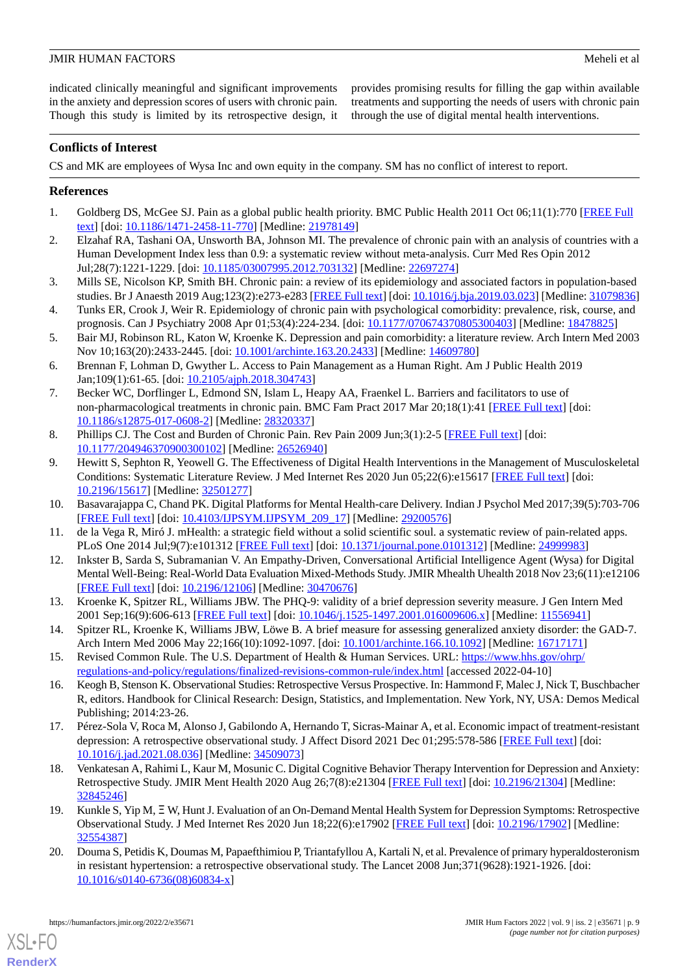indicated clinically meaningful and significant improvements in the anxiety and depression scores of users with chronic pain. Though this study is limited by its retrospective design, it provides promising results for filling the gap within available treatments and supporting the needs of users with chronic pain through the use of digital mental health interventions.

# **Conflicts of Interest**

CS and MK are employees of Wysa Inc and own equity in the company. SM has no conflict of interest to report.

# <span id="page-8-0"></span>**References**

- <span id="page-8-1"></span>1. Goldberg DS, McGee SJ. Pain as a global public health priority. BMC Public Health 2011 Oct 06;11(1):770 [\[FREE Full](https://bmcpublichealth.biomedcentral.com/articles/10.1186/1471-2458-11-770) [text](https://bmcpublichealth.biomedcentral.com/articles/10.1186/1471-2458-11-770)] [doi: [10.1186/1471-2458-11-770\]](http://dx.doi.org/10.1186/1471-2458-11-770) [Medline: [21978149\]](http://www.ncbi.nlm.nih.gov/entrez/query.fcgi?cmd=Retrieve&db=PubMed&list_uids=21978149&dopt=Abstract)
- <span id="page-8-2"></span>2. Elzahaf RA, Tashani OA, Unsworth BA, Johnson MI. The prevalence of chronic pain with an analysis of countries with a Human Development Index less than 0.9: a systematic review without meta-analysis. Curr Med Res Opin 2012 Jul;28(7):1221-1229. [doi: [10.1185/03007995.2012.703132](http://dx.doi.org/10.1185/03007995.2012.703132)] [Medline: [22697274](http://www.ncbi.nlm.nih.gov/entrez/query.fcgi?cmd=Retrieve&db=PubMed&list_uids=22697274&dopt=Abstract)]
- <span id="page-8-3"></span>3. Mills SE, Nicolson KP, Smith BH. Chronic pain: a review of its epidemiology and associated factors in population-based studies. Br J Anaesth 2019 Aug;123(2):e273-e283 [\[FREE Full text\]](https://linkinghub.elsevier.com/retrieve/pii/S0007-0912(19)30227-2) [doi: [10.1016/j.bja.2019.03.023](http://dx.doi.org/10.1016/j.bja.2019.03.023)] [Medline: [31079836](http://www.ncbi.nlm.nih.gov/entrez/query.fcgi?cmd=Retrieve&db=PubMed&list_uids=31079836&dopt=Abstract)]
- <span id="page-8-4"></span>4. Tunks ER, Crook J, Weir R. Epidemiology of chronic pain with psychological comorbidity: prevalence, risk, course, and prognosis. Can J Psychiatry 2008 Apr 01;53(4):224-234. [doi: [10.1177/070674370805300403\]](http://dx.doi.org/10.1177/070674370805300403) [Medline: [18478825\]](http://www.ncbi.nlm.nih.gov/entrez/query.fcgi?cmd=Retrieve&db=PubMed&list_uids=18478825&dopt=Abstract)
- <span id="page-8-5"></span>5. Bair MJ, Robinson RL, Katon W, Kroenke K. Depression and pain comorbidity: a literature review. Arch Intern Med 2003 Nov 10;163(20):2433-2445. [doi: [10.1001/archinte.163.20.2433](http://dx.doi.org/10.1001/archinte.163.20.2433)] [Medline: [14609780\]](http://www.ncbi.nlm.nih.gov/entrez/query.fcgi?cmd=Retrieve&db=PubMed&list_uids=14609780&dopt=Abstract)
- 6. Brennan F, Lohman D, Gwyther L. Access to Pain Management as a Human Right. Am J Public Health 2019 Jan;109(1):61-65. [doi: [10.2105/ajph.2018.304743](http://dx.doi.org/10.2105/ajph.2018.304743)]
- <span id="page-8-6"></span>7. Becker WC, Dorflinger L, Edmond SN, Islam L, Heapy AA, Fraenkel L. Barriers and facilitators to use of non-pharmacological treatments in chronic pain. BMC Fam Pract 2017 Mar 20;18(1):41 [[FREE Full text](https://bmcfampract.biomedcentral.com/articles/10.1186/s12875-017-0608-2)] [doi: [10.1186/s12875-017-0608-2\]](http://dx.doi.org/10.1186/s12875-017-0608-2) [Medline: [28320337](http://www.ncbi.nlm.nih.gov/entrez/query.fcgi?cmd=Retrieve&db=PubMed&list_uids=28320337&dopt=Abstract)]
- <span id="page-8-7"></span>8. Phillips CJ. The Cost and Burden of Chronic Pain. Rev Pain 2009 Jun;3(1):2-5 [\[FREE Full text\]](http://europepmc.org/abstract/MED/26526940) [doi: [10.1177/204946370900300102\]](http://dx.doi.org/10.1177/204946370900300102) [Medline: [26526940\]](http://www.ncbi.nlm.nih.gov/entrez/query.fcgi?cmd=Retrieve&db=PubMed&list_uids=26526940&dopt=Abstract)
- <span id="page-8-9"></span><span id="page-8-8"></span>9. Hewitt S, Sephton R, Yeowell G. The Effectiveness of Digital Health Interventions in the Management of Musculoskeletal Conditions: Systematic Literature Review. J Med Internet Res 2020 Jun 05;22(6):e15617 [\[FREE Full text](https://www.jmir.org/2020/6/e15617/)] [doi: [10.2196/15617\]](http://dx.doi.org/10.2196/15617) [Medline: [32501277\]](http://www.ncbi.nlm.nih.gov/entrez/query.fcgi?cmd=Retrieve&db=PubMed&list_uids=32501277&dopt=Abstract)
- <span id="page-8-10"></span>10. Basavarajappa C, Chand PK. Digital Platforms for Mental Health-care Delivery. Indian J Psychol Med 2017;39(5):703-706 [[FREE Full text](https://journals.sagepub.com/doi/10.4103/IJPSYM.IJPSYM_209_17?url_ver=Z39.88-2003&rfr_id=ori:rid:crossref.org&rfr_dat=cr_pub%3dpubmed)] [doi: [10.4103/IJPSYM.IJPSYM\\_209\\_17](http://dx.doi.org/10.4103/IJPSYM.IJPSYM_209_17)] [Medline: [29200576\]](http://www.ncbi.nlm.nih.gov/entrez/query.fcgi?cmd=Retrieve&db=PubMed&list_uids=29200576&dopt=Abstract)
- <span id="page-8-11"></span>11. de la Vega R, Miró J. mHealth: a strategic field without a solid scientific soul. a systematic review of pain-related apps. PLoS One 2014 Jul;9(7):e101312 [\[FREE Full text\]](https://dx.plos.org/10.1371/journal.pone.0101312) [doi: [10.1371/journal.pone.0101312\]](http://dx.doi.org/10.1371/journal.pone.0101312) [Medline: [24999983\]](http://www.ncbi.nlm.nih.gov/entrez/query.fcgi?cmd=Retrieve&db=PubMed&list_uids=24999983&dopt=Abstract)
- <span id="page-8-12"></span>12. Inkster B, Sarda S, Subramanian V. An Empathy-Driven, Conversational Artificial Intelligence Agent (Wysa) for Digital Mental Well-Being: Real-World Data Evaluation Mixed-Methods Study. JMIR Mhealth Uhealth 2018 Nov 23;6(11):e12106 [[FREE Full text](https://mhealth.jmir.org/2018/11/e12106/)] [doi: [10.2196/12106\]](http://dx.doi.org/10.2196/12106) [Medline: [30470676\]](http://www.ncbi.nlm.nih.gov/entrez/query.fcgi?cmd=Retrieve&db=PubMed&list_uids=30470676&dopt=Abstract)
- <span id="page-8-13"></span>13. Kroenke K, Spitzer RL, Williams JBW. The PHQ-9: validity of a brief depression severity measure. J Gen Intern Med 2001 Sep;16(9):606-613 [\[FREE Full text\]](https://onlinelibrary.wiley.com/resolve/openurl?genre=article&sid=nlm:pubmed&issn=0884-8734&date=2001&volume=16&issue=9&spage=606) [doi: [10.1046/j.1525-1497.2001.016009606.x](http://dx.doi.org/10.1046/j.1525-1497.2001.016009606.x)] [Medline: [11556941](http://www.ncbi.nlm.nih.gov/entrez/query.fcgi?cmd=Retrieve&db=PubMed&list_uids=11556941&dopt=Abstract)]
- <span id="page-8-14"></span>14. Spitzer RL, Kroenke K, Williams JBW, Löwe B. A brief measure for assessing generalized anxiety disorder: the GAD-7. Arch Intern Med 2006 May 22;166(10):1092-1097. [doi: [10.1001/archinte.166.10.1092](http://dx.doi.org/10.1001/archinte.166.10.1092)] [Medline: [16717171](http://www.ncbi.nlm.nih.gov/entrez/query.fcgi?cmd=Retrieve&db=PubMed&list_uids=16717171&dopt=Abstract)]
- <span id="page-8-15"></span>15. Revised Common Rule. The U.S. Department of Health & Human Services. URL: [https://www.hhs.gov/ohrp/](https://www.hhs.gov/ohrp/regulations-and-policy/regulations/finalized-revisions-common-rule/index.html) [regulations-and-policy/regulations/finalized-revisions-common-rule/index.html](https://www.hhs.gov/ohrp/regulations-and-policy/regulations/finalized-revisions-common-rule/index.html) [accessed 2022-04-10]
- 16. Keogh B, Stenson K. Observational Studies: Retrospective Versus Prospective. In: Hammond F, Malec J, Nick T, Buschbacher R, editors. Handbook for Clinical Research: Design, Statistics, and Implementation. New York, NY, USA: Demos Medical Publishing; 2014:23-26.
- <span id="page-8-16"></span>17. Pérez-Sola V, Roca M, Alonso J, Gabilondo A, Hernando T, Sicras-Mainar A, et al. Economic impact of treatment-resistant depression: A retrospective observational study. J Affect Disord 2021 Dec 01;295:578-586 [[FREE Full text](https://linkinghub.elsevier.com/retrieve/pii/S0165-0327(21)00841-7)] [doi: [10.1016/j.jad.2021.08.036\]](http://dx.doi.org/10.1016/j.jad.2021.08.036) [Medline: [34509073\]](http://www.ncbi.nlm.nih.gov/entrez/query.fcgi?cmd=Retrieve&db=PubMed&list_uids=34509073&dopt=Abstract)
- <span id="page-8-17"></span>18. Venkatesan A, Rahimi L, Kaur M, Mosunic C. Digital Cognitive Behavior Therapy Intervention for Depression and Anxiety: Retrospective Study. JMIR Ment Health 2020 Aug 26;7(8):e21304 [\[FREE Full text\]](https://mental.jmir.org/2020/8/e21304/) [doi: [10.2196/21304\]](http://dx.doi.org/10.2196/21304) [Medline: [32845246](http://www.ncbi.nlm.nih.gov/entrez/query.fcgi?cmd=Retrieve&db=PubMed&list_uids=32845246&dopt=Abstract)]
- 19. Kunkle S, Yip M, Ξ W, Hunt J. Evaluation of an On-Demand Mental Health System for Depression Symptoms: Retrospective Observational Study. J Med Internet Res 2020 Jun 18;22(6):e17902 [\[FREE Full text\]](https://www.jmir.org/2020/6/e17902/) [doi: [10.2196/17902](http://dx.doi.org/10.2196/17902)] [Medline: [32554387](http://www.ncbi.nlm.nih.gov/entrez/query.fcgi?cmd=Retrieve&db=PubMed&list_uids=32554387&dopt=Abstract)]
- 20. Douma S, Petidis K, Doumas M, Papaefthimiou P, Triantafyllou A, Kartali N, et al. Prevalence of primary hyperaldosteronism in resistant hypertension: a retrospective observational study. The Lancet 2008 Jun;371(9628):1921-1926. [doi: [10.1016/s0140-6736\(08\)60834-x](http://dx.doi.org/10.1016/s0140-6736(08)60834-x)]

[XSL](http://www.w3.org/Style/XSL)•FO **[RenderX](http://www.renderx.com/)**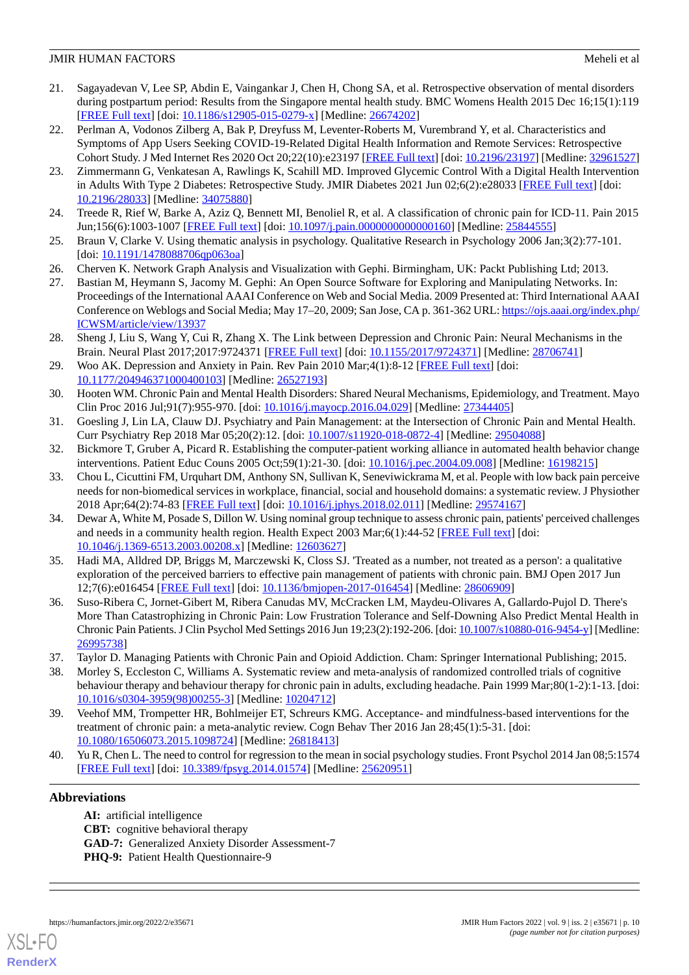- <span id="page-9-0"></span>21. Sagayadevan V, Lee SP, Abdin E, Vaingankar J, Chen H, Chong SA, et al. Retrospective observation of mental disorders during postpartum period: Results from the Singapore mental health study. BMC Womens Health 2015 Dec 16;15(1):119 [[FREE Full text](https://bmcwomenshealth.biomedcentral.com/articles/10.1186/s12905-015-0279-x)] [doi: [10.1186/s12905-015-0279-x\]](http://dx.doi.org/10.1186/s12905-015-0279-x) [Medline: [26674202](http://www.ncbi.nlm.nih.gov/entrez/query.fcgi?cmd=Retrieve&db=PubMed&list_uids=26674202&dopt=Abstract)]
- <span id="page-9-1"></span>22. Perlman A, Vodonos Zilberg A, Bak P, Dreyfuss M, Leventer-Roberts M, Vurembrand Y, et al. Characteristics and Symptoms of App Users Seeking COVID-19-Related Digital Health Information and Remote Services: Retrospective Cohort Study. J Med Internet Res 2020 Oct 20;22(10):e23197 [\[FREE Full text\]](https://www.jmir.org/2020/10/e23197/) [doi: [10.2196/23197](http://dx.doi.org/10.2196/23197)] [Medline: [32961527](http://www.ncbi.nlm.nih.gov/entrez/query.fcgi?cmd=Retrieve&db=PubMed&list_uids=32961527&dopt=Abstract)]
- <span id="page-9-2"></span>23. Zimmermann G, Venkatesan A, Rawlings K, Scahill MD. Improved Glycemic Control With a Digital Health Intervention in Adults With Type 2 Diabetes: Retrospective Study. JMIR Diabetes 2021 Jun 02;6(2):e28033 [\[FREE Full text](https://diabetes.jmir.org/2021/2/e28033/)] [doi: [10.2196/28033\]](http://dx.doi.org/10.2196/28033) [Medline: [34075880\]](http://www.ncbi.nlm.nih.gov/entrez/query.fcgi?cmd=Retrieve&db=PubMed&list_uids=34075880&dopt=Abstract)
- <span id="page-9-4"></span><span id="page-9-3"></span>24. Treede R, Rief W, Barke A, Aziz Q, Bennett MI, Benoliel R, et al. A classification of chronic pain for ICD-11. Pain 2015 Jun;156(6):1003-1007 [[FREE Full text](http://europepmc.org/abstract/MED/25844555)] [doi: [10.1097/j.pain.0000000000000160\]](http://dx.doi.org/10.1097/j.pain.0000000000000160) [Medline: [25844555\]](http://www.ncbi.nlm.nih.gov/entrez/query.fcgi?cmd=Retrieve&db=PubMed&list_uids=25844555&dopt=Abstract)
- <span id="page-9-5"></span>25. Braun V, Clarke V. Using thematic analysis in psychology. Qualitative Research in Psychology 2006 Jan;3(2):77-101. [doi: [10.1191/1478088706qp063oa\]](http://dx.doi.org/10.1191/1478088706qp063oa)
- <span id="page-9-6"></span>26. Cherven K. Network Graph Analysis and Visualization with Gephi. Birmingham, UK: Packt Publishing Ltd; 2013.
- <span id="page-9-7"></span>27. Bastian M, Heymann S, Jacomy M. Gephi: An Open Source Software for Exploring and Manipulating Networks. In: Proceedings of the International AAAI Conference on Web and Social Media. 2009 Presented at: Third International AAAI Conference on Weblogs and Social Media; May 17–20, 2009; San Jose, CA p. 361-362 URL: [https://ojs.aaai.org/index.php/](https://ojs.aaai.org/index.php/ICWSM/article/view/13937) [ICWSM/article/view/13937](https://ojs.aaai.org/index.php/ICWSM/article/view/13937)
- <span id="page-9-8"></span>28. Sheng J, Liu S, Wang Y, Cui R, Zhang X. The Link between Depression and Chronic Pain: Neural Mechanisms in the Brain. Neural Plast 2017;2017:9724371 [[FREE Full text](https://doi.org/10.1155/2017/9724371)] [doi: [10.1155/2017/9724371](http://dx.doi.org/10.1155/2017/9724371)] [Medline: [28706741](http://www.ncbi.nlm.nih.gov/entrez/query.fcgi?cmd=Retrieve&db=PubMed&list_uids=28706741&dopt=Abstract)]
- <span id="page-9-9"></span>29. Woo AK. Depression and Anxiety in Pain. Rev Pain 2010 Mar; 4(1): 8-12 [\[FREE Full text\]](http://europepmc.org/abstract/MED/26527193) [doi: [10.1177/204946371000400103\]](http://dx.doi.org/10.1177/204946371000400103) [Medline: [26527193\]](http://www.ncbi.nlm.nih.gov/entrez/query.fcgi?cmd=Retrieve&db=PubMed&list_uids=26527193&dopt=Abstract)
- <span id="page-9-11"></span><span id="page-9-10"></span>30. Hooten WM. Chronic Pain and Mental Health Disorders: Shared Neural Mechanisms, Epidemiology, and Treatment. Mayo Clin Proc 2016 Jul;91(7):955-970. [doi: [10.1016/j.mayocp.2016.04.029\]](http://dx.doi.org/10.1016/j.mayocp.2016.04.029) [Medline: [27344405\]](http://www.ncbi.nlm.nih.gov/entrez/query.fcgi?cmd=Retrieve&db=PubMed&list_uids=27344405&dopt=Abstract)
- <span id="page-9-12"></span>31. Goesling J, Lin LA, Clauw DJ. Psychiatry and Pain Management: at the Intersection of Chronic Pain and Mental Health. Curr Psychiatry Rep 2018 Mar 05;20(2):12. [doi: [10.1007/s11920-018-0872-4](http://dx.doi.org/10.1007/s11920-018-0872-4)] [Medline: [29504088\]](http://www.ncbi.nlm.nih.gov/entrez/query.fcgi?cmd=Retrieve&db=PubMed&list_uids=29504088&dopt=Abstract)
- 32. Bickmore T, Gruber A, Picard R. Establishing the computer-patient working alliance in automated health behavior change interventions. Patient Educ Couns 2005 Oct;59(1):21-30. [doi: [10.1016/j.pec.2004.09.008\]](http://dx.doi.org/10.1016/j.pec.2004.09.008) [Medline: [16198215](http://www.ncbi.nlm.nih.gov/entrez/query.fcgi?cmd=Retrieve&db=PubMed&list_uids=16198215&dopt=Abstract)]
- 33. Chou L, Cicuttini FM, Urquhart DM, Anthony SN, Sullivan K, Seneviwickrama M, et al. People with low back pain perceive needs for non-biomedical services in workplace, financial, social and household domains: a systematic review. J Physiother 2018 Apr;64(2):74-83 [[FREE Full text](https://linkinghub.elsevier.com/retrieve/pii/S1836-9553(18)30018-3)] [doi: [10.1016/j.jphys.2018.02.011](http://dx.doi.org/10.1016/j.jphys.2018.02.011)] [Medline: [29574167](http://www.ncbi.nlm.nih.gov/entrez/query.fcgi?cmd=Retrieve&db=PubMed&list_uids=29574167&dopt=Abstract)]
- <span id="page-9-13"></span>34. Dewar A, White M, Posade S, Dillon W. Using nominal group technique to assess chronic pain, patients' perceived challenges and needs in a community health region. Health Expect 2003 Mar;6(1):44-52 [\[FREE Full text\]](http://europepmc.org/abstract/MED/12603627) [doi: [10.1046/j.1369-6513.2003.00208.x\]](http://dx.doi.org/10.1046/j.1369-6513.2003.00208.x) [Medline: [12603627\]](http://www.ncbi.nlm.nih.gov/entrez/query.fcgi?cmd=Retrieve&db=PubMed&list_uids=12603627&dopt=Abstract)
- <span id="page-9-14"></span>35. Hadi MA, Alldred DP, Briggs M, Marczewski K, Closs SJ. 'Treated as a number, not treated as a person': a qualitative exploration of the perceived barriers to effective pain management of patients with chronic pain. BMJ Open 2017 Jun 12;7(6):e016454 [\[FREE Full text](https://bmjopen.bmj.com/lookup/pmidlookup?view=long&pmid=28606909)] [doi: [10.1136/bmjopen-2017-016454\]](http://dx.doi.org/10.1136/bmjopen-2017-016454) [Medline: [28606909](http://www.ncbi.nlm.nih.gov/entrez/query.fcgi?cmd=Retrieve&db=PubMed&list_uids=28606909&dopt=Abstract)]
- <span id="page-9-16"></span><span id="page-9-15"></span>36. Suso-Ribera C, Jornet-Gibert M, Ribera Canudas MV, McCracken LM, Maydeu-Olivares A, Gallardo-Pujol D. There's More Than Catastrophizing in Chronic Pain: Low Frustration Tolerance and Self-Downing Also Predict Mental Health in Chronic Pain Patients. J Clin Psychol Med Settings 2016 Jun 19;23(2):192-206. [doi: [10.1007/s10880-016-9454-y\]](http://dx.doi.org/10.1007/s10880-016-9454-y) [Medline: [26995738](http://www.ncbi.nlm.nih.gov/entrez/query.fcgi?cmd=Retrieve&db=PubMed&list_uids=26995738&dopt=Abstract)]
- <span id="page-9-17"></span>37. Taylor D. Managing Patients with Chronic Pain and Opioid Addiction. Cham: Springer International Publishing; 2015.
- <span id="page-9-18"></span>38. Morley S, Eccleston C, Williams A. Systematic review and meta-analysis of randomized controlled trials of cognitive behaviour therapy and behaviour therapy for chronic pain in adults, excluding headache. Pain 1999 Mar;80(1-2):1-13. [doi: [10.1016/s0304-3959\(98\)00255-3](http://dx.doi.org/10.1016/s0304-3959(98)00255-3)] [Medline: [10204712\]](http://www.ncbi.nlm.nih.gov/entrez/query.fcgi?cmd=Retrieve&db=PubMed&list_uids=10204712&dopt=Abstract)
- 39. Veehof MM, Trompetter HR, Bohlmeijer ET, Schreurs KMG. Acceptance- and mindfulness-based interventions for the treatment of chronic pain: a meta-analytic review. Cogn Behav Ther 2016 Jan 28;45(1):5-31. [doi: [10.1080/16506073.2015.1098724\]](http://dx.doi.org/10.1080/16506073.2015.1098724) [Medline: [26818413\]](http://www.ncbi.nlm.nih.gov/entrez/query.fcgi?cmd=Retrieve&db=PubMed&list_uids=26818413&dopt=Abstract)
- 40. Yu R, Chen L. The need to control for regression to the mean in social psychology studies. Front Psychol 2014 Jan 08;5:1574 [[FREE Full text](https://doi.org/10.3389/fpsyg.2014.01574)] [doi: [10.3389/fpsyg.2014.01574\]](http://dx.doi.org/10.3389/fpsyg.2014.01574) [Medline: [25620951\]](http://www.ncbi.nlm.nih.gov/entrez/query.fcgi?cmd=Retrieve&db=PubMed&list_uids=25620951&dopt=Abstract)

# **Abbreviations**

**AI:** artificial intelligence **CBT:** cognitive behavioral therapy **GAD-7:** Generalized Anxiety Disorder Assessment-7 **PHO-9:** Patient Health Questionnaire-9